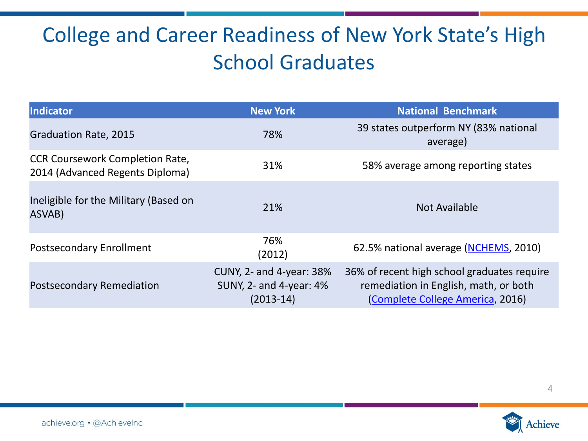

**THE STATE EDUCATION DEPARTMENT** / THE UNIVERSITY OF THE STATE OF NEW YORK / ALBANY, NY 12234

**TO:** The Honorable the Members of the Board of Regents

FROM: Tony Lofrumento Anthony Lofuments Je

**SUBJECT:** Summary of the November 2016 Meeting

**AUTHORIZATION(S):**

**DATE:** December 1, 2016 untlem

**Executive Summary**

Issue for Decision

Review of the Summary of the November 2016 Meeting of the Board of Regents.

# Proposed Handling

Approval of the Summary of November 2016 meeting.

# Procedural History

This document summarizes the actions of the Board of Regents during the monthly meeting and is brought before the Board the following month for approval.

### Recommendation

Approval of the Summary of the November 2016 meeting.

# Timetable for Implementation

Effective December 13, 2016.

**VOTED**, that the Summary of the November 2016 Meeting of the Board of Regents of The University of the State of New York be approved.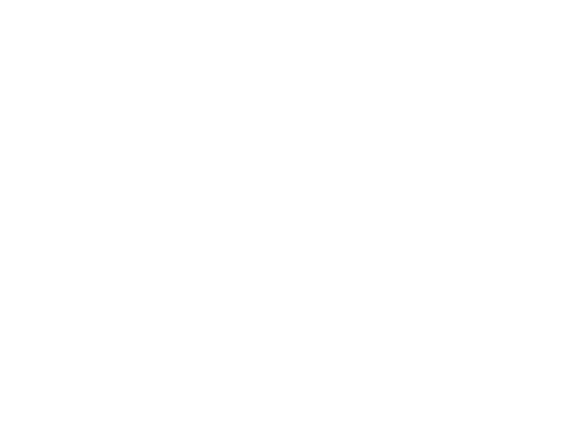

# *SUMMARY OF THE NOVEMBER 2016 MEETING*

# *OF THE BOARD OF REGENTS*

*OF*

# *THE UNIVERSITY OF THE STATE OF NEW YORK*

*Held at the State Education Building*

*Albany, New York*

*November 14 and 15, 2016*

*Anthony Lofrumento, Secretary Board of Regents*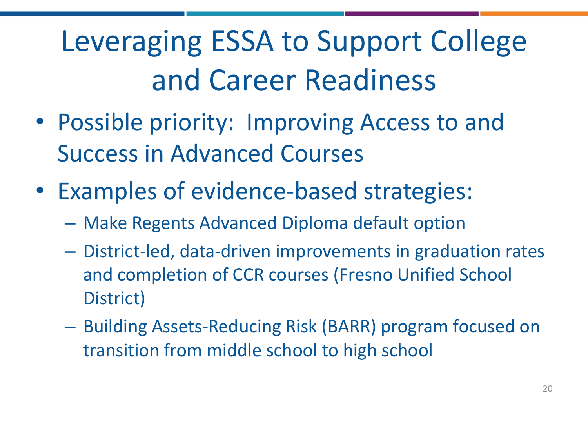### *THE BOARD OF REGENTS*

The Board of Regents of The University of the State of New York held a public session on Monday, November 14, 2016 at 9:00 a.m. pursuant to a call to duty sent to each Regent.

### **MEETING OF THE FULL BOARD, Monday, November 14th at 9:00 a.m.**

#### **Board Members in Attendance:**

Betty A. Rosa, Chancellor T. Andrew Brown, Vice Chancellor Roger Tilles Lester W. Young, Jr. Christine D. Cea Wade Norwood Kathleen M. Cashin James E. Cottrell Josephine Victoria Finn Judith Chin Beverly L. Ouderkirk Catherine Collins Judith Johnson Nan Eileen Mead Elizabeth S. Hakanson Luis O. Reyes

Also present were Commissioner of Education, MaryEllen Elia, Executive Deputy Commissioner, Elizabeth Berlin, Acting Counsel and Deputy Commissioner for Legal Affairs, Alison B. Bianchi, and the Secretary, Board of Regents, Anthony Lofrumento. Regent James R. Tallon, Jr. was absent and excused.

Chancellor Betty A. Rosa called the meeting to order at 9:00 a.m. and provided thoughts for a moment of reflection.

### **ACTION ITEM**

#### **Executive Session Motion**

**MOVED,** that the Board of Regents convene in executive session today, Monday, November 14 at 3:30 PM. to discuss personnel matters.

| <b>Motion by:</b> | Vice Chancellor T. Andrew Brown |
|-------------------|---------------------------------|
| Seconded by:      | Regent Christine D. Cea         |
| <b>Action:</b>    | Motion carried unanimously      |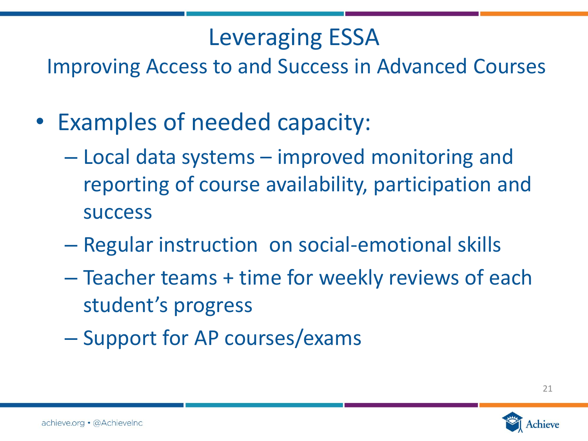# **PRESENTATION**

# **Every Student Succeeds Act (ESSA) – Part 1**

Commissioner Elia presented an update to the Board of Regents regarding the Every Student Succeeds Act (ESSA) (Attachments I and II.)

Chancellor Betty A. Rosa adjourned the meeting.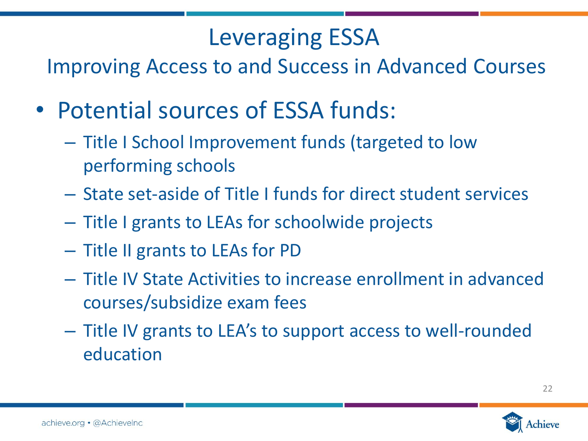The Board of Regents of The University of the State of New York held a public session on Monday, November 14, 2016 at 3:45 p.m. pursuant to a call to duty sent to each Regent.

## **MEETING OF THE FULL BOARD, Monday, November 14th at 3:35 pm**

#### **Board Members in Attendance:**

Betty A. Rosa, Chancellor T. Andrew Brown, Vice Chancellor Roger Tilles Lester W. Young, Jr. Christine D. Cea Wade Norwood Kathleen M. Cashin James E. Cottrell Josephine Victoria Finn Judith Chin Beverly L. Ouderkirk Catherine Collins Judith Johnson Nan Eileen Mead Elizabeth S. Hakanson Luis O. Reyes

Also present were Commissioner of Education, MaryEllen Elia, Executive Deputy Commissioner, Elizabeth Berlin, Acting Counsel and Deputy Commissioner for Legal Affairs, Alison B. Bianchi, and the Secretary, Board of Regents, Anthony Lofrumento. Regent James R. Tallon, Jr. was absent and excused.

Chancellor Betty A. Rosa called the meeting to order at 3:45 p.m.

### **ACTION ITEM**

#### **Executive Session Motion**

**MOVED,** that the Board of Regents convene in executive session on Tuesday, November 15 at 8:45 a.m. to discuss personnel matters.

| <b>Motion by:</b> | Chancellor Betty A. Rosa    |
|-------------------|-----------------------------|
| Seconded by:      | Regent Lester W. Young, Jr. |
| <b>Action:</b>    | Motion carried unanimously  |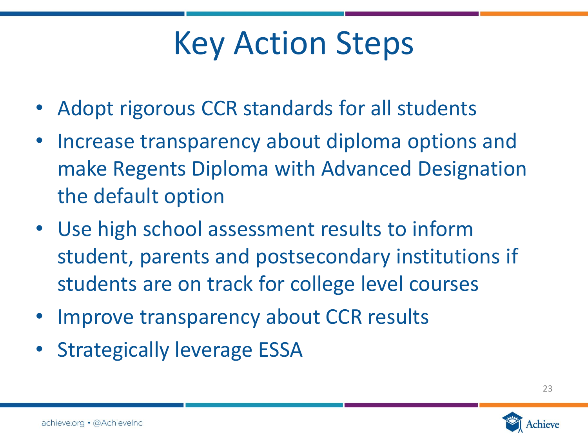# **PRESENTATION**

# **Every Student Succeeds Act (ESSA) – Part 2**

Michael Cohen, President, Achieve and Linda Darling-Hammond, President, Learning Policy Institute and Charles E. Ducommun Professor of Education Emeritus at Stanford University presented an update to the Board of Regents regarding the Every Student Succeeds Act (ESSA) (Attachments III and IV.)

Chancellor Rosa adjourned the meeting.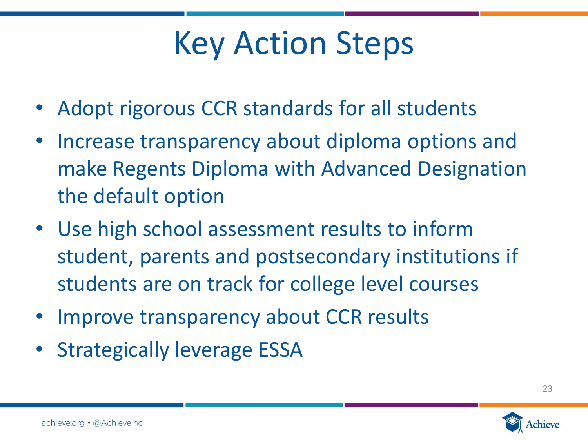The Board of Regents of The University of the State of New York held a public session on Tuesday, November 15, 2016 at 11:45 a.m. pursuant to a call to duty sent to each Regent.

## **MEETING OF THE FULL BOARD, Tuesday, November 15th at 11:45 a.m.**

#### **Board Members in Attendance:**

Betty A. Rosa, Chancellor T. Andrew Brown, Vice Chancellor James R. Tallon, Jr. Roger Tilles Lester W. Young, Jr. Christine D. Cea Wade Norwood Kathleen M. Cashin James E. Cottrell Josephine Victoria Finn Judith Chin Beverly L. Ouderkirk Catherine Collins Judith Johnson Nan Eileen Mead Elizabeth S. Hakanson Luis O. Reyes

Also present were Commissioner of Education, MaryEllen Elia, Executive Deputy Commissioner, Elizabeth Berlin, Acting Counsel and Deputy Commissioner for Legal Affairs, Alison B. Bianchi, and the Secretary, Board of Regents, Anthony Lofrumento.

Chancellor Betty A. Rosa called the meeting to order at 11:45 a.m. Regent Luis O. Reyes provided thoughts for a moment of reflection.

Chancellor Rosa provided the following statement at the start of the meeting:

I'd like to make a statement on behalf of the Board, the Department, and our State. We have been engaged for now for some time on the issue of looking at our students and the needs of our students. In that light, we have been engaged in many conversations. I know that both the Commissioner and members of this Board have talked about listening and being able to bring forth many competing at times concerns and issues.

Yesterday was particularly interesting in that we have acknowledged the uncertainty that we face as we move forth and we know that at the state we will continue to move forward with all our compassion, passion, and energy.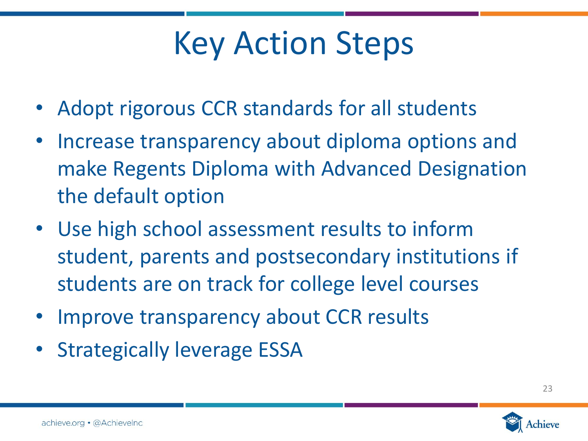As we look at this issue as we did yesterday in terms of our assessments, we have had several conversations, some of them off-line and some of them on-line, in terms of this year. It is November and most of you know, we had to really look at many considerations, including we had conversations, as I shared yesterday, with our technical advisory committee, our TAC Committee. Hearing the many voices, we decided that for this year we would definitely and I want to state it again so there's no misunderstanding, that for this year we would continue with three full six-day testing as we did last year.

Our commissioner and this Board are absolutely open to continuing that discussion into the following year and thereby continuing the input of our TAC, the input of our constituents, the input of our great State and the members both parents, teachers and others that have a vested interest in the welfare of our children.

So, with that I'd like to continue the conversation, as Linda Darling-Hammond and Michael Cohen yesterday engaged us in a very thought-provoking conversation. We hope that all of us collectively can come together and keeping in mind not the interest of sometimes our organizations or our personal interests or sometimes interests that do not necessarily connect to the welfare of our children but at the end of the day we often ask the question, "what does this have to do with Children?"

# **ACTION ITEMS**

#### **Charter Applications BR (A) 1**

**MOVED,** that the Board of Regents approve each application in accordance with the recommendations contained in the summary table (see Appendix I).

### **Summary of the October 2016 Meeting of the Board of Regents BR (A) 2**

**MOVED,** that the Summary of the October 2016 Meeting of the Board of Regents of The University of the State of New York be approved.

| <b>Motion by:</b> | Regent Kathleen M. Cashin   |
|-------------------|-----------------------------|
| Seconded by:      | Regent Christine D. Cea     |
| <b>Action:</b>    | Motion carried unanimously. |

#### **PROGRAM AREA CONSENT ITEMS**

#### **Higher Education**

**Saint Joseph's Seminary and College: Master Plan Amendment to Establish a Branch Campus and Offer a Master of Arts (M.A.) Degree Program in Theology BR (CA) 1**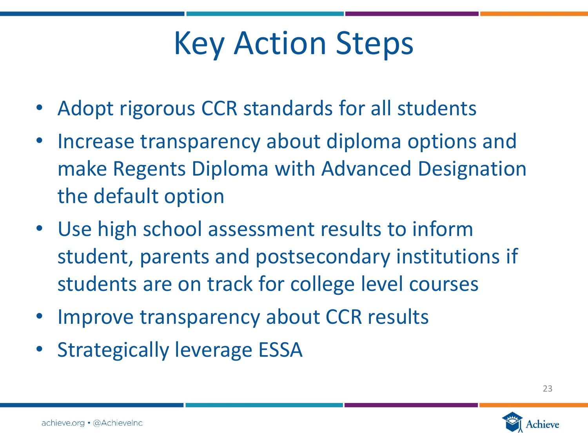**MOVED**, that That the Board of Regents approve a master plan amendment to authorize Saint Joseph's Seminary and College to establish a branch campus in Poughkeepsie, NY, and to offer its first program at that location, a Master of Arts (M.A.) in Theology. The amendment will be effective until November 15, 2017, unless the Department registers the program prior to that date, in which case master plan amendment shall be without term.

#### **The State University of New York Monroe Community College, Damon City campus – Master Plan Amendment for Associate in Applied Science (A.A.S.) degree program in Child Care Practitioner BR (CA) 2**

**MOVED**, that the Board of Regents approve an amendment to the State University of New York master plan authorizing Monroe Community College to offer its first program in the Education discipline, an Associate in Applied Science (A.A.S.) degree in Child Care Practitioner, at the Damon City campus. The amendment will be effective until November 15, 2017, unless the Department registers the program prior to that date, in which case master plan amendment shall be without term.

### **Permanent Authority to Confer Degrees: The Institute of Art-New York LLC ("doing business as" (dba) Sotheby's Institute of Art-New York) BR (CA) 3**

**MOVED**, that the Board of Regents grant the Institute of Art-New York, LLC, (dba Sotheby's Institute of Art-New York), permanent authority to confer degrees.

### **P-12 Education**

#### **Proposed Amendment of Section 100.6 of the Commissioner's Regulations Relating to the Establishment of Criteria for the Approval of Work-Readiness Assessments for Earning the New York State Career Development and Occupational Studies Commencement Credential BR (CA) 4**

**MOVED**, that paragraph (4) of subdivision (b) of section 100.6 of the Regulations of the Commissioner be amended as submitted, effective December 12, 2016, as an emergency action upon a finding by the Board of Regents that such action is necessary for the preservation of the general welfare in order to provide sufficient time for the Commissioner to approve work-readiness assessments for students to earn a NYS CDOS Commencement Credential on or after April 3, 2017 and to ensure that the emergency rule adopted at the September 2016 Regents meeting remains in effect until it can be adopted as a permanent rule.

#### **Petition of the City School District of the City of Olean for Consent to Exceed the Constitutional Debt Limit BR (CA) 7**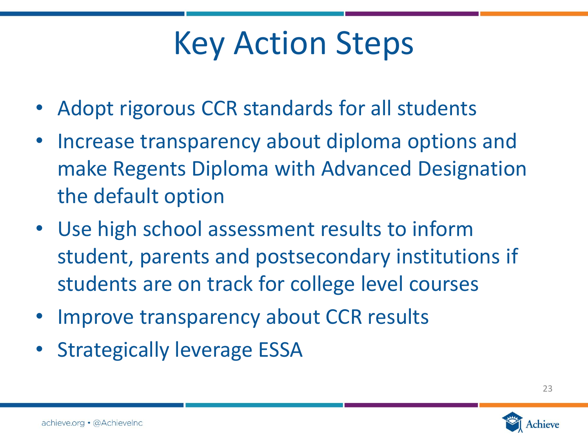**MOVED**, that the Board of Regents hereby gives consent to the issuance of bonds and/or bond anticipation notes by the Board of Education of the City School District of the City of Olean for a total in an amount not to exceed \$12,150,000, with \$900,000 to be expended from the existing building capital reserve fund and \$4,000,000, for a total request of \$15,250,000 to be used for certain capital improvements consisting of addition to and reconstruction of school buildings and facilities for and the issuance of such bonds and/or bond anticipation notes in excess of the constitutional debt limit of said school district.

#### **Petition of the City School District of the City of Gloversville for Consent to Exceed the Constitutional Debt Limit BR (CA) 8**

**MOVED**, that the Board of Regents hereby gives consent to the issuance of bonds and/or bond anticipation notes by the Board of Education of the City School District of the City of Gloversville in an amount not to exceed \$37,800,000 for the construction of additions to and reconstruction of various district buildings, construction and reconstruction of athletic fields and facilities, site work, and the acquisition of original furnishings, equipment, machinery or apparatus thereon and therein and required for the purpose for which such buildings and facilities are to be used and the issuance of such bonds and/or bond anticipation notes in excess of the constitutional debt limit of said school district.

### **Professional Practice**

#### **(Re)Appointments of Members to the State Boards for the Professions and (Re)Appointments of Extended Members to the State Boards for the Professions for Service on Licensure Disciplinary and/or Licensure Restoration and Moral Character Panels BR (CA) 5**

**MOVED**, that the Regents approve the proposed (re)appointments.

### **Report of the Committee on the Professions Regarding Licensing Petitions BR (CA) 6**

**MOVED**, that the Regents approve the recommendations of the Committee on the Professions regarding licensing petitions.

**MOVED**, that the Regents approve the consent agenda items.

| <b>Motion by:</b> | <b>Regent Judith Chin</b>   |
|-------------------|-----------------------------|
| Seconded by:      | Regent Christine D. Cea     |
| <b>Action:</b>    | Motion carried unanimously. |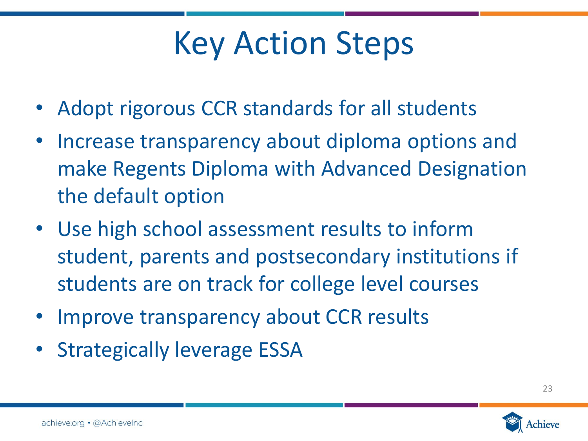### **STANDING COMMITTEE REPORTS**

### **ADULT CAREER AND CONTINUING EDUCATION SERVICES (ACCES)**

Your ACCES Committee held its scheduled meeting on November 14, 2016. All members were present.

### **MATTERS NOT REQUIRING BOARD ACTION**

**Regents 2017-2018 State Budget Priorities** – Your committee recommends that the Board of Regents approve budget priorities for Bridge to College and Careers Pilot Program and Independent Living Services. The Bridge Program is requesting \$10 million in new state funding to continue the program. Independent Living Services is requesting a \$5 million increase in state funding to support the expansion of independent living services and supports to maximize opportunities for individuals with disabilities to live and work in their community.

**2017 State Legislative Priorities** – Your committee recommends that the Board of Regents approve the legislative proposal for the 2017 session on the Reader's Aid Program. The proposed legislation would increase the annual aid cap per student, expand eligibility to include non-degree granting proprietary schools in New York State, provide eligibility for students with learning disabilities and print disabilities, and authorize the use of up to half of the funds for the purchase of assistive technology.

### **AUDITS/BUDGET AND FINANCE**

Your Committee on Audits/Budget and Finance had its scheduled meeting on November 14, 2016. Regent Josephine Finn, Chair of the Audits/Budget and Finance Committee, submitted the following written report. In attendance were committee members: Regent Finn, Char, Regent Tilles, Regent Young, Regent Collins, Regent Mead and Regent Hakanson.

Regents, in addition to Audits/Budget Committee Members, in attendance were: Chancellor Rosa, Vice Chancellor Brown, Regents Cashin, Cea, Cottrell, and Ouderkirk, as well as Commissioner Elia and Executive Deputy Commissioner Berlin.

### **ITEMS FOR DISCUSSION**

Chair's Remarks: Regent Finn welcomed everyone and congratulated Donald Juron on his 34  $\frac{1}{2}$  years of dedicated service. She introduced Don Juron, Chief Financial Officer, to present the October 2016 Fiscal Report and Sharon Cates-Williams, Deputy Commissioner, to present the Board of Regents Oversight of Financial Accountability Report and Overview of the SED Office of Audit Services.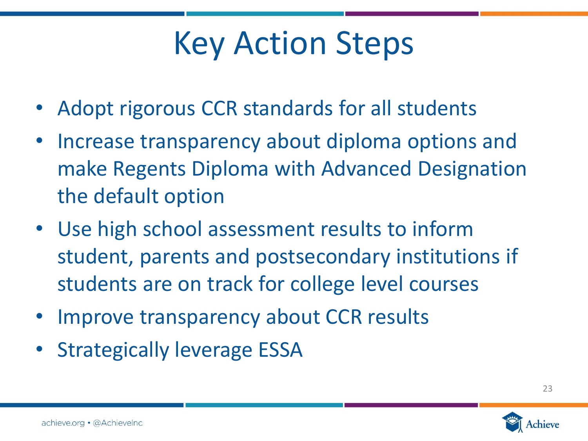### **2016 Fiscal Report**

Our Chief Financial Officer provided the Members with the October fiscal report that reflects actual expenditures through October 31, 2016 and projected expenditures through the lapse period ending June 30, 2017. Extensive spending controls continue for all funds. General Fund spending plans reflect the amounts appropriated in the 2016-17 enacted budget. General Fund accounts are in structural balance. Special Revenue accounts are all in structural balance on a current year basis and the accumulated negative balance in the Cultural Education Account is projected to remain at a negative \$3.6 million. Federal Funds reflect current year plans for two year grant awards.

# **Completed Audits**

The Department's Internal Audit Workgroup reviewed fifty-four audits that are being presented to the Committee this month. All fifty-four were issued by the Office of the State Comptroller (OSC). Thirty-nine audits were of school districts, seven BOCES, two of the State Education Department, one of the State Education Department and the Department of Health, one college, two charter schools, and two providers of special education services.

The findings were in the areas of budget and financial reporting, capital construction, cash, claims processing, employee and contractor finger printing, information technology, non-resident student tuition, payroll/leave accruals, procurement, Reimbursable Cost Manual compliance, reserve funds, school fire and safety, school lunch program, segregation of duties, student immunizations, and Tuition Assistance Program (TAP).

Deputy Commissioner, Sharon Cates-Williams, gave a brief overview of the State Education Department – Oversight of School Fire Safety Compliance

- Auditors visited 25 schools and found many did not complete the required number of fire drills; they also found that emergency evacuation plans at six schools did not include procedures to address evacuation of students who have disabilities or special needs.
- Almost 50 percent of the total number of private schools did not submit required inspection reports for the 2015-16 school year.
- The Department's electronic reporting system has not been verified for accuracy and lacks reporting capabilities to monitor school compliance.

The report's recommendations focused primarily on SED officials developing a riskbased approach for verifying, by site visit or other means, whether information provided in fire inspection report is accurate and schools are complying with fire safety requirements.

SED officials agreed with the report's recommendations and have indicated that they planned corrective action.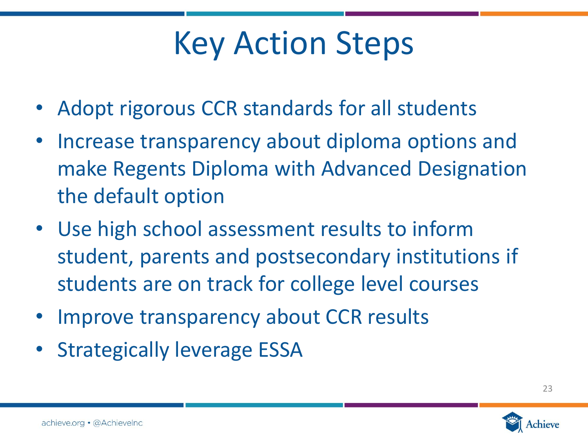In addition, Deputy Commissioner, Sharon Cates-Williams, presented the SED Office of Audit Services Overview. The presentation covered the Office's responsibilities and other areas such as, the differences between auditing and monitoring, the types of internal and external audits done by the Office, and the purpose of audit summaries.

## **CULTURAL EDUCATION**

Your Committee on Cultural Education Committee had its scheduled meeting on November 14, 2016. The meeting was delayed and began at 1:10pm. Regent Roger Tilles, Chair of the Cultural Education Committee, submitted the following written report. In attendance were committee members: Regent Tilles, Chair, Regent Chin, Regent Cea, Regent Ouderkirk, Regent Cottrell and Regent Johnson

Regents In addition to CE Committee Members, in attendance were: Vice Chancellor Brown, Regents Norwood, Cashin, Collins, Mead, Hakanson, and Reyes as well as Commissioner Elia and Executive Deputy Commissioner Berlin.

### **ITEMS FOR DISCUSSION**

Chair's Remarks: Regent Tilles welcomed everyone and informed the committee that this would be an abbreviated meeting. The presentations on the Statewide Summer Reading Program and the Museum Accreditation would be postponed until a future meeting. Regent Tilles introduced State Librarian Bernard Margolis who led the discussion.

### **Appointments to the Advisory Council on Libraries** - CE (A) 2

Mr. Margolis requested that the Board review and consider appointments to the Advisory Council on Libraries as provided in 8 NYCRR 3.12(a)(3). The motion was to appoint Nate Hill and Charles Shatzkin the Advisory Council on Libraries for five-year terms beginning November 1, 2016 and ending September 30, 2021.

Motion made by Regent Johnson Seconded by Regent Cea Unanimously approved.

Executive Deputy Beth Berlin introduced two items for action. Committee members received documents with overviews of the 2017 State budget and legislative priorities. The legislative priority was the support of the Museum Education Act. Regent Tilles requested that a small typographical error be modified in the document that was distributed regarding the Museum Education Act. Both items were considered as one.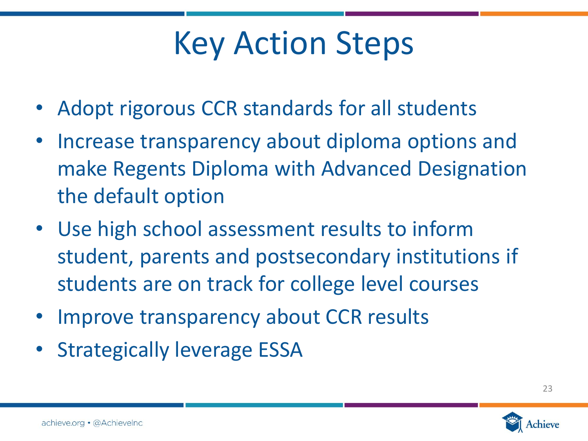## **Regents 2017-2018 State Budget Priorities** - CE (D) 4

## **2017 State Legislative Priorities** - CE (D) 3

A motion to endorse the proposed legislative and budget priorities was made by Regent Ouderkirk. Seconded by Regent Cea Unanimously approved.

In final business, Executive Deputy Commissioner Berlin reported that the Statewide Summer Reading Program had achieved its goal of including at least 2 million school age children as participants. State Librarian Margolis reported that 2,101,952 school age children participated in the program in the summer of 2016. Commissioner Elia reminded the committee of the benefit of reading in student performance and achievement and congratulated the State Library and libraries across the state for this achievement and encouraged efforts to achieve greater participation in the program.

#### **HIGHER EDUCATION**

Your Higher Education Committee held its scheduled meeting on November 15, 2016. All members were present.

### **MATTERS NOT REQUIRING BOARD ACTION**

#### **New Federal Regulations Concerning Teacher Preparation Programs**

Department staff presented information on the final federal regulations on teacher preparation which were released on October 12, 2016, and the new responsibilities given to the Department concerning collecting and reporting data and measuring quality of all state teacher preparation programs. HE (D) 2

#### **New York State Professional Standards and Practices Board for Teaching Annual Report**

Your Committee discussed a report on the activities of the New York State Professional Standards and Practices Board for Teaching. The co-chairs, Debra Calvino and Kate DaBoll-Lavoie provided a summary of the PSPB's activities in 2015-2016. HE (D) 3

**Amendment of Section 80-1.6 of the Regulations of the Commissioner of Education to Automatically Extend the Time Validity of Certain Expired Provisional, Initial or Transitional Certificates for Three Years if a Candidate Meets Certain Criteria and is Unable to Complete the Requirements for the Initial, Permanent or Professional Certificate in a Timely Manner**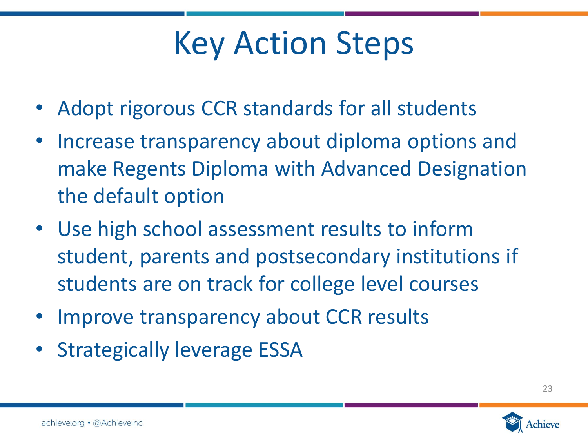Your Committee discussed amending Section 80-1.6 of the Commissioner's Regulations to automatically extend the time validity of certain expired provisional, initial or transitional certificates for three years if a candidate meets certain criteria and is unable to complete the requirements for the initial, permanent or professional certificate in a timely manner. It is anticipated that the proposed amendment will come before the Board of Regents for permanent adoption at its February 2017 meeting. If adopted at the February 2017 meeting, the proposed amendment will become effective on March 1, 2017. HE (D) 1

## **State Legislative and Budget Priorities**

Your Committee discussed the initiatives to be advanced during the 2017 legislative session and the proposals to be advanced during the 2017-18 budget cycle. HE (D) 4 & 5

## **CONSENT AGENDA**

The Board of Regents took action on the following consent agenda items at their November 15, 2016 meeting.

Saint Joseph's Seminary and College: Master plan amendment to establish a branch campus and offer a Master of Arts (M.A.) degree program in Theology. BR (CA) 1

The State University of New York Monroe Community College, Damon City campus – Master Plan Amendment for Associate in Applied Science (A.A.S.) degree program in Child Care Practitioner. BR (CA) 2

Permanent Authority to Confer Degrees: The Institute of Art-New York LLC ("doing business as" (dba) Sotheby's Institute of Art-New York) BR (CA) 3

### **P-12 EDUCATION**

Your P-12 Education Committee held its scheduled meeting on November 14, 2016. All members were present, except for Regent Tallon who was excused.

### **ACTION ITEMS**

**Initial Applications and Charters Authorized by the Board of Regents** [P-12 (A) 1] Your Committee recommends that the Regents find that: (1) the proposed charter schools meet the requirements set out in Article 56 of the Education Law, and all other applicable laws, rules and regulations; (2) the applicant can demonstrate the ability to operate the school in an educationally and fiscally sound manner; (3) granting the application is likely to improve student learning and achievement and materially further the purposes set out in subdivision two of section twenty-eight hundred fifty of Article 56 of the Education Law; and (4) granting the application will have a significant educational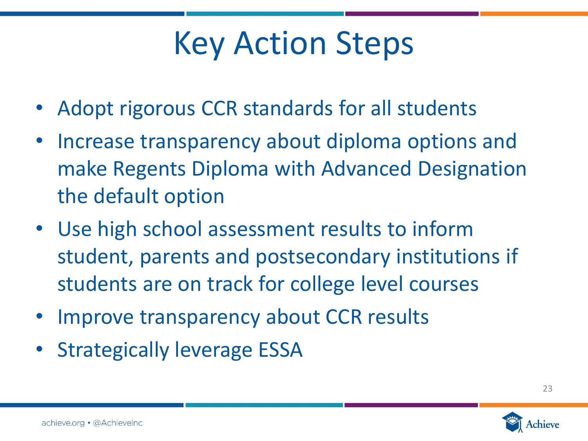benefit to the students expected to attend the charter school, and the Board of Regents therefore approves and issues a charter and provisional charter to the Hebrew Language Academy Charter School 2, for a term of five years in accordance with §2851(2)(p) of the Education Law.

Your Committee recommends that the Regents find that: (1) the proposed charter schools meets the requirements set out in Article 56 of the Education Law, and all other applicable laws, rules and regulations; (2) the applicant can demonstrate the ability to operate the school in an educationally and fiscally sound manner; (3) granting the application is likely to improve student learning and achievement and materially further the purposes set out in subdivision two of section twenty-eight hundred fifty of Article 56 of the Education Law; and (4) granting the application will have a significant educational benefit to the students expected to attend the charter school, and the Board of Regents therefore approves and issues a charter and provisional charter to the South Bronx Classical Charter School IV, for a term of five years in accordance with §2851(2)(p) of the Education Law.

Your Committee recommends that the Regents find that: (1) the proposed charter schools meets the requirements set out in Article 56 of the Education Law, and all other applicable laws, rules and regulations; (2) the applicant can demonstrate the ability to operate the school in an educationally and fiscally sound manner; (3) granting the application is likely to improve student learning and achievement and materially further the purposes set out in subdivision two of section twenty-eight hundred fifty of Article 56 of the Education Law; and (4) granting the application will have a significant educational benefit to the students expected to attend the charter school, and the Board of Regents therefore approves and issues a charter and provisional charter to the Syracuse Academy of Science and Citizenship Charter School for a term of five years in accordance with §2851(2)(p) of the Education Law.

The motion to approve all three schools was passed. Regents Collins and Mead abstained.

# **MOTION FOR ACTION BY FULL BOARD**

Madam Chancellor and Colleagues: Your P-12 Education Committee recommends, and we move, that the Board of Regents act affirmatively upon each recommendation in the written report of the Committee's deliberations at its meeting on November 15, 2016, copies of which have been distributed to each Regent.

### **MATTERS NOT REQUIRING BOARD ACTION**

**Update on the Regents Exam Workgroup** [P-12 (D) 1] – the Committee was provided with an update on the Regents Exam Workgroup. The Workgroup has met multiple times since its creation, engaged in thoughtful discussions covering many different aspects of the Regents Exams, and drafted a set of recommendations that will be shared with the Board of Regents. The recommendations fall into five categories: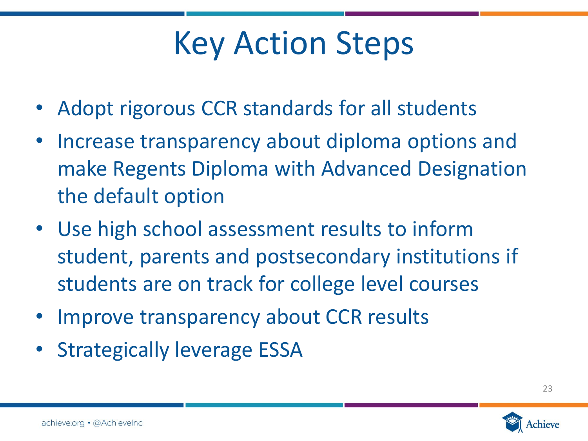graduation requirements, college readiness, reporting of Regents Exam scores, appeals for Regents Exam results, and multiple curriculum pathways in mathematics. Jack Bierwirth, the Chair for the Workgroup, presented the recommendations and added that experts from Special Education, English language learners, and multi-language learners should be brought together to provide input into the draft package before final determinations are made.

**Update on the Standards and Assessment Workgroup** – the Committee was updated on the work of the Standards and Assessment Workgroup.

Based on consistent recommendations from educators throughout the state substantive changes were made to the Grades 3-8 ELA and Math tests for this last year:

- The lengths of the tests were reduced such that they contained fewer test questions.
- The tests were made untimed to provide students further opportunity to demonstrate what they know and can do by allowing them to work at their own pace.
- The department released more test questions (75%) than ever before and earlier than ever before.
- And the parent score reports are more user-friendly and useful to parents

By maintaining the current testing system it allows the Department to measure student development over time.

**2017-2018 State Budget and Legislative Initiatives** [P-12 (D) 2 and 3] – the Committee discussed State budget proposals to be advanced during the 2017-2018 budget cycle and draft legislative initiatives to be advanced during the 2017 legislative session. Committee members commented positively on the addition of prior history for each item. They also requested that an increase to the District Superintendent salary cap be put back on the list and that we enhance our communication strategy when presenting our priorities to the Executive to provide a clear vision as to why they should support the Department in serving its mission to support schools.

# **Consent Agenda**

The Board of Regents will take action on the following consent agenda items at their November 15, 2016 meeting.

- Regulations relating to the Establishment of Criteria for the Approval of Work Readiness Assessments for Earning the NYS Career Development and Occupational Studies (CDOS) Commencement Credential.
- Petition of the City School District of the City of Olean for Consent to Exceed the Constitutional Debt Limit.
- Petition of the City School District of the City of Gloversville for Consent to Exceed the Constitutional Debt Limit.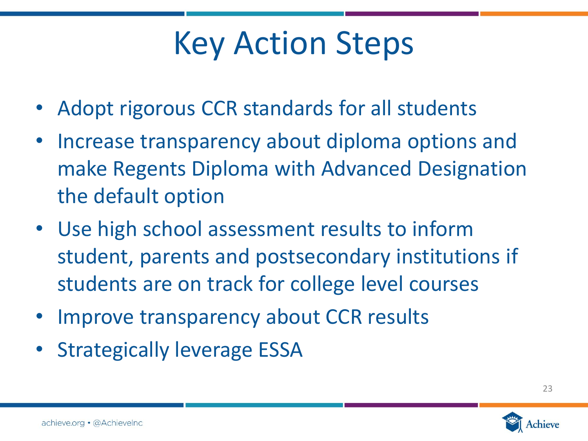# **P-12 EDUCATION/HIGHER EDUCATION JOINT MEETING**

Your P-12 Education Committee and Higher Education Committee held a joint meeting on November 14, 2016. All members were present, except for Regent Tallon who was excused.

# **MATTERS NOT REQUIRING BOARD ACTION**

**School Counseling, Certification Requirements for School Counselors and Program Registration Requirements for School Counseling Preparation Programs** [P-12/HE (D) 1] – the Committee discussed proposed amendments to regulations relating to school counseling, certification requirements for school counselors and program registration requirements for school counseling preparation programs. Discussion focused on the newly revised amendments as a result of feedback received through public comment and the series of meetings and discussions held since September 2015. The Committee requested that staff come back at a future meeting to discuss how the regulations would be implemented in elementary schools given that there is no funding attached. Following the 30-day public comment, it is anticipated that the proposed rule will be presented for permanent adoption at the February 2017 Regents meeting. If adopted at the February meeting, the proposed amendment will become effective on July 1, 2017.

# **PROFESSIONAL PRACTICE**

Your Professional Practice Committee held its scheduled meeting on November 14, 2016. All Committee members were present. Chancellor Betty S. Rosa, Vice-Chancellor T. Andrew Brown, Regent Kathleen M. Cashin and Regent Roger Tilles were also present, but did not vote on any case or action.

# **ACTION ITEMS**

# **Professional Discipline Cases**

Your Committee recommends that the reports of the Regents Review Committees, including rulings, findings of fact, determinations as to guilt, and recommendations, by unanimous or majority vote, contained in those reports which have been distributed to you, be accepted in 4 cases. In addition, your Committee recommends, upon the recommendation of the Committee on the Professions, that 40 consent order applications and 18 surrender applications be granted. [PPC EXS (A) 1-3]

These recommendations are made following the review of 62 cases involving sixteen registered professional nurses, fourteen licensed practical nurses, five licensed practical nurses who are also registered professional nurses, three pharmacies, three professional engineers, two dentists, two pharmacists, two veterinarians, one certified public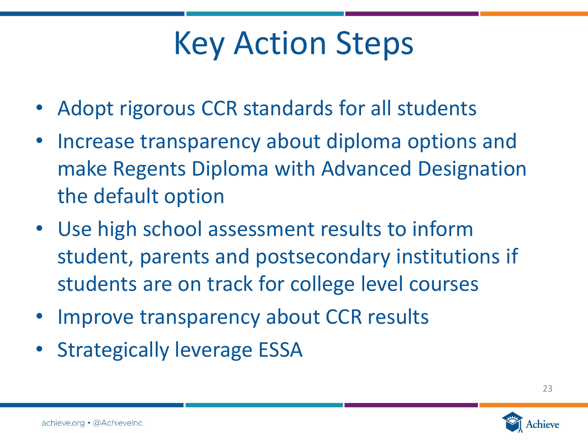accountant, one chiropractor, one licensed master social worker, one occupational therapy assistant who is also an occupational therapist, one physical therapist, one psychologist, one registered professional nurse who is also a nurse practitioner (Adult Health), and one veterinary technician.

### **Restorations**

Your Committee recommends the following:

That the application of Prasad Chalasani for the restoration of his license to practice as a physician in New York State be denied. [PPC EXS (A) 4]

That the surrender of William Degraw's license to practice as a LPN in the state of New York be stayed, and that he be placed on probation for a period of two years, under specified terms and conditions. Upon successful completion of the probation, his license would be fully restored. [PPC EXS (A) 5]

That the application of Farid U. Syed for the restoration of his license to practice as a pharmacist in New York State be denied. [PPC EXS (A) 6]

### **MOTION FOR ACTION BY FULL BOARD**

Madam Chancellor and Colleagues: Your Professional Practice Committee recommends, and we move, that the Board of Regents act affirmatively upon each recommendation in the written report of the Committee's deliberations at its meeting on November 14, 2016, copies of which have been distributed to each Regent.

### **MATTERS NOT REQUIRING BOARD ACTION**

Your Committee discussed several topics of interest, including:

Deputy Commissioner's Report/Update [Oral Report] -

- Full Board Consent Agenda Items
- Board (Re) Appointments
- Licensing Petitions

**MOVED**, that the Committees Reports be approved.

| <b>Motion by:</b> | <b>Regent Roger Tilles</b>  |
|-------------------|-----------------------------|
| Seconded by:      | Regent Kathleen M. Cashin   |
| <b>Action:</b>    | Motion carried unanimously. |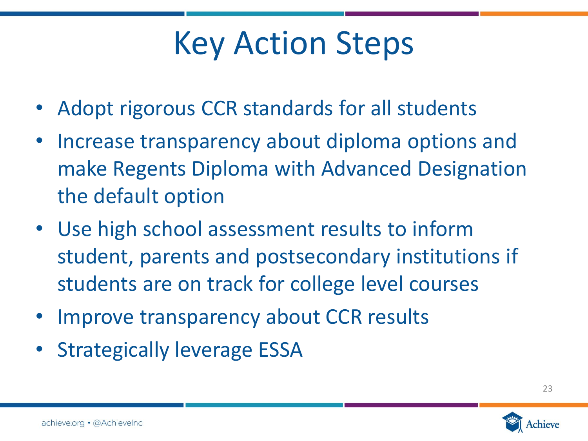### **2017 State Legislative Priorities BR (A) 10**

**MOVED,** that the Regents affirm support for last year's proposals as well as approve the following one page proposals for the 2017 session:

ACCES - Reader's Aid Cultural Education - Museum Education Act Professional Practice - Enhanced Discipline Authority of the Licensed **Professions** 

| <b>Motion by:</b> | <b>Regent Roger Tilles</b>  |
|-------------------|-----------------------------|
| Seconded by:      | Regent Christine D. Cea     |
| <b>Action:</b>    | Motion carried unanimously. |

## **Regents 2017-2018 State Budget Priorities BR (A) 11**

**MOVED,** that the Regents approve budget priorities as follows:

| <b>Electronic Licensing System</b>        | \$4.3 million* |
|-------------------------------------------|----------------|
| <b>Public Library Construction</b>        | \$6 million    |
| Statewide e-Book platform                 | $$2.5$ million |
| Bridge to College & Careers Pilot Program | \$10.0 million |
| <b>Independent Living Services</b>        | \$5.0 million  |

\*Spending authority for existing revenue

| <b>Motion by:</b> | Regent Wade S. Norwood      |
|-------------------|-----------------------------|
| Seconded by:      | <b>Regent Judith Chin</b>   |
| <b>Action:</b>    | Motion carried unanimously. |

### **State Education Department October 2016 Fiscal Report BR (A) 3**

**MOVED,** that the Board accepts the October 2016 State Education Department Fiscal Report as presented.

| <b>Motion by:</b> | Regent Josephine Victoria Finn |
|-------------------|--------------------------------|
| Seconded by:      | Regent James R. Tallon, Jr.    |
| <b>Action:</b>    | Motion carried unanimously.    |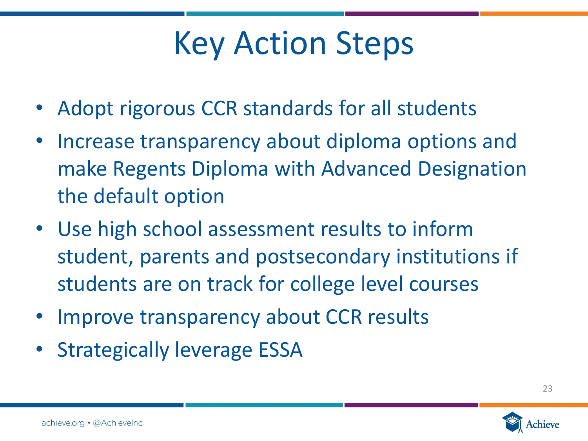#### **USNY Fiscal Agent Authorization BR (A) 4**

**MOVED,** that the Board of Regents designate Elizabeth Berlin as fiscal agent for USNY effective November 30, 2016.

| <b>Motion by:</b> | Regent James R. Tallon, Jr. |
|-------------------|-----------------------------|
| Seconded by:      | Regent Judith Chin          |
| <b>Action:</b>    | Motion carried unanimously. |

### **Acceptance of a \$225,000 grant from The Bill and Melinda Gates Foundation BR (A) 5**

**MOVED**, that the Board of Regents accept the sum of \$225,000 from the Bill and Melinda Gates Foundation to support the work outlined.

| <b>Motion by:</b> | Regent Christine D. Cea     |
|-------------------|-----------------------------|
| Seconded by:      | Regent Kathleen M. Cashin   |
| <b>Action:</b>    | Motion carried unanimously. |

### **Acceptance of a \$200,000 grant from The Bill and Melinda Gates Foundation BR (A) 6**

**MOVED**, that the Board of Regents accept the sum of \$200,000 from the Bill and Melinda Gates Foundation to support the work outlined.

| <b>Motion by:</b> | Regent Kathleen M. Cashin   |
|-------------------|-----------------------------|
| Seconded by:      | Regent James E. Cottrell    |
| <b>Action:</b>    | Motion carried unanimously. |

### **APPOINTMENTS**

#### **Appointment to the Position of Executive Secretary, State Boards for Podiatry, Physical Therapy and Ophthalmic Dispensing BR (A) 7**

**MOVED,** that the Board of Regents approve the appointment of Thania F. Fernandez as the Executive Secretary to the State Boards for Podiatry, Physical Therapy and Ophthalmic Dispensing.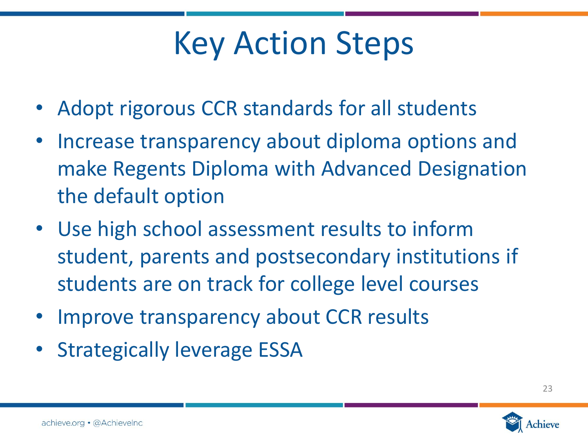**Motion by:** Regent Roger Tilles **Seconded by:** Regent James R. Tallon, Jr. Action: Motion carried unanimously.

#### **Appointment to the Position of Executive Secretary, State Boards for Pharmacy and Midwifery BR (A) 8**

**MOVED,** that the Board of Regents approve the appointment of Kimberly A. Leonard as the Executive Secretary to the State Board for Pharmacy and Midwifery.

**Motion by:** Regent Kathleen M. Cashin **Seconded by:** Regent Roger Tilles Action: Motion carried unanimously.

### **Appointment of Counsel and Deputy Commissioner for Legal Affairs BR (A) 9**

**MOVED,** that the Board of Regents approve the appointment of Alison B. Bianchi to the position of Counsel and Deputy Commissioner for Legal Affairs effective November 16, 2016.

| <b>Motion by:</b> | <b>Regent Roger Tilles</b>      |
|-------------------|---------------------------------|
| Seconded by:      | Vice Chancellor T. Andrew Brown |
| <b>Action:</b>    | Motion carried unanimously.     |

# **Retirement of Don Juron, Chief Financial Officer (CFO)**

Chancellor Rosa asked Vice Chancellor Brown to express the Board's appreciation for Don Juron's 34 ½ years of outstanding service to the Department.

Chancellor Betty A. Rosa adjourned the meeting.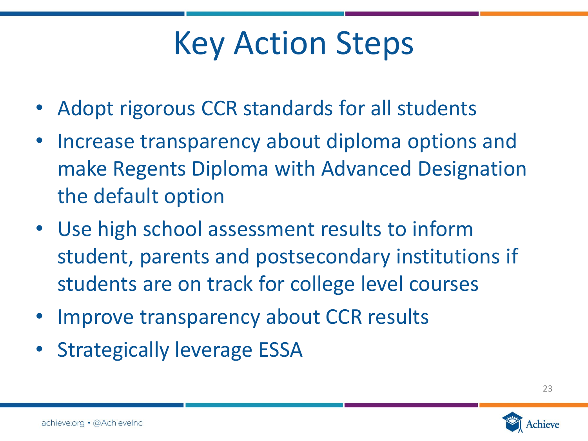#### **Appendix I NEW YORK STATE BOARD OF REGENTS CHARTER ACTIONS**

| <b>Name of Institution</b>                                           | Program<br>Area | <b>County</b><br>(City/Town)<br>of Location | <b>Description of Charter</b><br><b>Action(s)</b>                                                                                                                                                                               |
|----------------------------------------------------------------------|-----------------|---------------------------------------------|---------------------------------------------------------------------------------------------------------------------------------------------------------------------------------------------------------------------------------|
| Children's Museum of the East<br>End                                 | <b>CE</b>       | <b>Suffolk</b><br>(Bridgehampton)           | Grant an absolute charter.                                                                                                                                                                                                      |
| <b>Friends of Herkimer Home</b><br><b>State Historic Site</b>        | <b>CE</b>       | <b>Herkimer</b><br>(Little Falls)           | Amend certificate of<br>incorporation to change the<br>corporate name to "The Friends<br>of Historic Central Mohawk<br>Valley" and the purposes to<br>amend its geographic region to<br>be the entire Central Mohawk<br>Valley. |
| <b>Grenell Island Historical</b><br>Association                      | <b>CE</b>       | Jefferson<br>(Clayton)                      | Merge with Grenell Island<br>Improvement Association, Inc.<br>with the Grenell Island Historical<br>Association as the surviving<br>corporation.                                                                                |
| The Lawrence Historical<br>Organization                              | <b>CE</b>       | St. Lawrence<br>(Lawrenceville)             | Extend charter for five years.                                                                                                                                                                                                  |
| Lodi Whittier Library                                                | <b>CE</b>       | Seneca<br>(Lodi)                            | Amend charter to specify the<br>trustee term length to be three<br>years.                                                                                                                                                       |
| Long Island Wireless History<br>Society                              | <b>CE</b>       | <b>Suffolk</b><br>(Sayville)                | Amend charter to change the<br>corporate name to "The Long<br><b>Island Radio &amp; Television</b><br>Historical Society" and to<br>extend the charter for five<br>years.                                                       |
| The Historical Society of the<br>Palisades Interstate Park<br>Region | <b>CE</b>       | Rockland<br>(Bear Mountain)                 | Extend charter for five years.                                                                                                                                                                                                  |
| The Mastic Peninsula<br><b>Historical Society</b>                    | <b>CE</b>       | <b>Suffolk</b><br>(Mastic)                  | Extend charter for five years.                                                                                                                                                                                                  |
| <b>Osborne Center for Social</b><br>Justice                          | <b>CE</b>       | Seneca<br>(Auburn)                          | Extend charter for five years.                                                                                                                                                                                                  |
| Pacem in Terris                                                      | <b>CE</b>       | Orange<br>(Warwick)                         | Grant an absolute charter.                                                                                                                                                                                                      |
| <b>Ripley Free Library</b>                                           | <b>CE</b>       | Chautauqua<br>(Ripley)                      | Dissolve charter and approval<br>to distribute remaining assets to<br>the Ripley Public Library.                                                                                                                                |
| <b>Stillwater Free Library</b>                                       | <b>CE</b>       | Saratoga<br>(Stillwater)                    | Dissolve charter and approval<br>to distribute remaining assets to<br>the Stillwater Public Library.                                                                                                                            |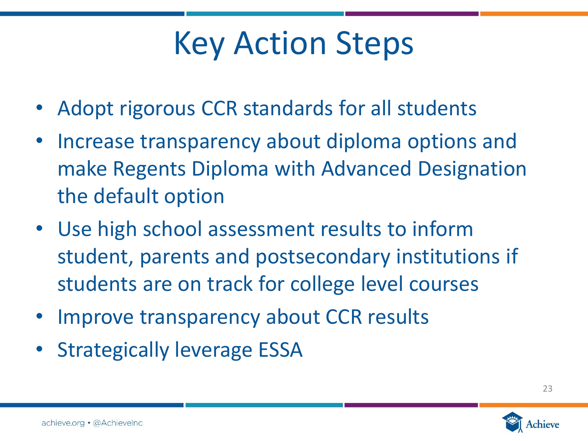| <b>Name of Institution</b>       | Program<br>Area | <b>County</b><br>(City/Town)<br>of Location | <b>Description of Charter</b><br><b>Action(s)</b> |
|----------------------------------|-----------------|---------------------------------------------|---------------------------------------------------|
| <b>Westmoreland Historical</b>   | <b>CE</b>       | Oneida                                      | Extend charter for five years.                    |
| Society                          |                 | (Westmoreland)                              |                                                   |
| Catholic School Region of the    | P <sub>12</sub> | New York                                    | Amend charter to add a school                     |
| Northwest and South Bronx        |                 | (Manhattan)                                 | location.                                         |
| The Child Development            | P <sub>12</sub> | <b>Broome</b>                               | Extend charter for three years.                   |
| Council                          |                 | (Johnson City)                              |                                                   |
| FES Sports Academy               | P <sub>12</sub> | Kings                                       | Amend charter to change the                       |
|                                  |                 | (Brooklyn)                                  | corporate name to "Minority                       |
|                                  |                 |                                             | Enterprise Career Schools" and                    |
|                                  |                 |                                             | revise purposes to operate                        |
|                                  |                 |                                             | grades nine through twelve.                       |
| Love of Learning Montessori      | P <sub>12</sub> | <b>Suffolk</b>                              | Amend charter to add an                           |
| School                           |                 | (Centerport)                                | additional campus location at                     |
|                                  |                 |                                             | <b>Centerport United Methodist</b>                |
|                                  |                 |                                             | Church, 97 Little Neck Road,                      |
|                                  |                 |                                             | Centerport, NY 11721.                             |
| Our Sons and Daughters           | P <sub>12</sub> | <b>Suffolk</b>                              | Extend charter for three years.                   |
| School                           |                 | (Sag Harbor)                                |                                                   |
| <b>River-Park Nursery School</b> | P <sub>12</sub> | New York                                    | Restate charter to update                         |
|                                  |                 | (Manhattan)                                 | current trustees and IRS                          |
|                                  |                 |                                             | dissolution language.                             |
| St. Mark's Nursery School        | P <sub>12</sub> | <b>Nassau</b>                               | Amend charter to change the                       |
|                                  |                 | (Rockville Centre)                          | corporate address to 100                          |
|                                  |                 |                                             | Hempstead Avenue, Rockville                       |
|                                  |                 |                                             | Centre, NY11570.                                  |
| St. Francis College              | <b>HE</b>       | <b>Kings</b>                                | Amend charter to add authority                    |
|                                  |                 | (Brooklyn)                                  | to confer the Master of Fine                      |
|                                  |                 |                                             | Arts (M.F.A.) degree.                             |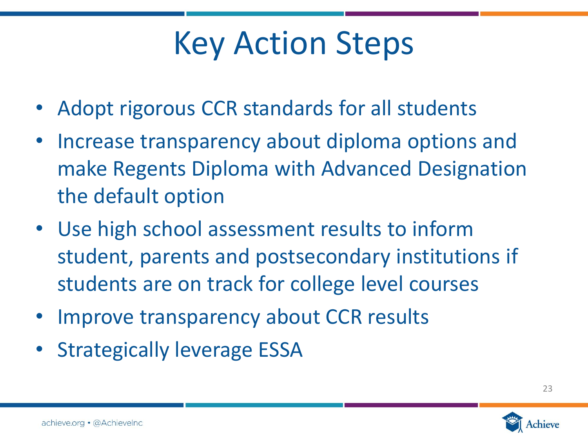## **Appendix II**

### **REGENTS ACTIONS IN 64 PROFESSIONAL DISCIPLINE CASES AND 3 RESTORATION PETITIONS**

November 14 - 15, 2016

The Board of Regents announced disciplinary actions resulting in the surrender of 18 licenses, and 44 other disciplinary actions. The penalty indicated for each case relates solely to the misconduct set forth in that particular case. In addition, the Board acted upon 3 restoration petitions.

## **I. SURRENDERS**

## **Chiropractic**

Richard Seth Hurwitz a/k/a Richard S. Hurwitz; Woodmere, NY 11598; Lic. No. 009834; Cal. No. 29191; Application to surrender license granted. Summary: Licensee admitted to the charge of having been convicted of Conspiracy to Commit Health Care Fraud, a felony.

### **Engineering and Land Surveying**

Michael David Zimmerman; Professional Engineer; Sudbury, MA 01776; Lic. No. 076087; Cal. 29242; Application to surrender license granted. Summary: Licensee did not contest charges of practicing the profession of engineering with a lapsed license in the State of New Jersey and misrepresenting on a New York State registration renewal application that he had not been previously disciplined in any other jurisdiction.

Russell Kenneth Teal; Professional Engineer; North Canton, OH 44720; Lic. No. 083679; Cal. No. 29243; Application to surrender license granted. Summary: Licensee admitted to the charge of failing to comply with the mandatory continuing education requirements to be registered to practice as a professional engineer.

# **Nursing**

Lorraine Casiano a/k/a Lorraine Meoni; Licensed Practical Nurse, Registered Professional Nurse; Setauket, NY 11733; Lic. Nos. 144252, 439287; Cal. Nos. 28996, 28997; Application to surrender licenses granted. Summary: Licensee admitted to charges of failing to follow proper procedure for the wasting of controlled substances and diverting Ativan tablets, a controlled substance, for her own use.

Susan Clow; Licensed Practical Nurse, Registered Professional Nurse; Rochester, NY 14612; Lic. Nos. 129330, 358371; Cal. Nos. 29095, 29094; Application to surrender licenses granted. Summary: Licensee admitted to charges of having been convicted of Driving While Intoxicated and having lied on the registration.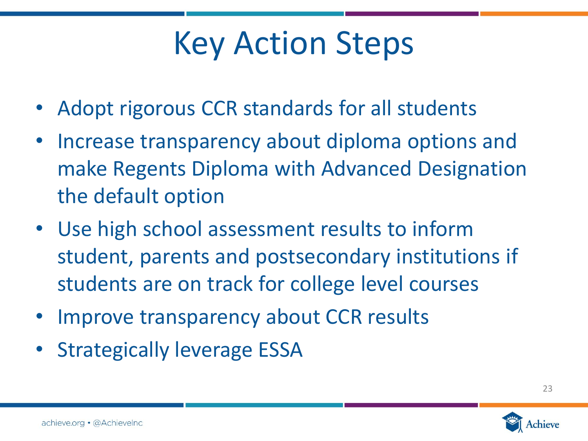Richard Leeroy Downs; Licensed Practical Nurse; Cape Coral, FL 33990-1944, Cape Coral, FL 33990; Lic. No. 290094; Cal. No. 29149; Application to surrender license granted. Summary: Licensee admitted to the charge of having been found guilty of improper professional practice or professional misconduct by a duly authorized professional disciplinary agency of the State of Florida, where the conduct upon which the finding was based would, if committed in New York State, constitute professional misconduct under the laws of New York State.

Mark C. Rivinus; Registered Professional Nurse; West Roxbury, MA 02132; Lic. No. 304867; Cal. No. 29223; Application to surrender license granted. Summary: Licensee did not contest the charge of having been found guilty of professional misconduct in the State of Massachusetts, which conduct would be considered conduct in the profession which evidences moral unfitness, if committed in New York State.

Barbara Jean La Dore; Registered Professional Nurse; Myrtle Beach, SC 29579; Lic. No. 377132; Cal. No. 29227; Application to surrender license granted. Summary: Licensee admitted to the charge of practicing the profession of nursing while the ability to practice is impaired by carisoprodol, a muscle relaxant.

Stephen Francis Skolny; Registered Professional Nurse; Morris Run, PA 16939-0173; Lic. No. 488144; Cal. No. 29234; Application to surrender license granted. Summary: Licensee admitted to the charge of being unable to practice nursing with reasonable skill and safety to patients due to alcohol dependence.

Manohar Masih Mattu; Registered Professional Nurse; New Hyde Park, NY 11040; Lic. No. 469788; Cal. No. 29248; Application to surrender license granted. Summary: Licensee admitted to the charge of having been convicted of 3 counts of Rape in the 3rd Degree, a class E felony.

Linda A. Panetta; Registered Professional Nurse; Kennebunk, ME 04043; Lic. No. 236152; Cal. No. 29249; Application to surrender license granted. Summary: Licensee did not contest the charge of having been found guilty of professional misconduct in the State of Maine, which conduct would be considered failure to maintain accurate patient records, if committed in New York State.

Pamela G. Kerr; Registered Professional Nurse; Junction City, KS 66441; Lic. No. 247171; Cal. No. 29259; Application to surrender license granted. Summary: Licensee did not contest the charge of having been found guilty of professional misconduct in the State of Maine, which conduct would be considered failure to maintain accurate patient records, if committed in New York State.

Noelle Lynne Anderson; Registered Professional Nurse; Walled Lake, MI 48390; Lic. No. 595312; Cal. No. 29269; Application to surrender license granted. Summary: Licensee did not contest the charge of having been found guilty of professional misconduct in the State of Michigan, which conduct would be considered being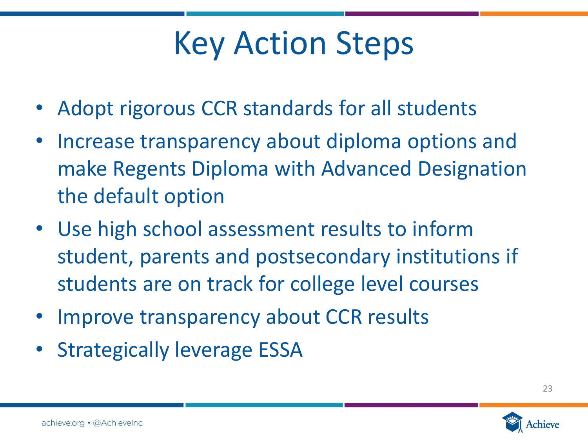habitually drunk or being dependent on, or a habitual user of narcotics, barbiturates, amphetamines, hallucinogens or other drugs having similar effects, if committed in New York State.

Elizabeth J. Calabro; Registered Professional Nurse; Marana, AZ 85658; Lic. No. 313537; Cal. No. 29270; Application to surrender license granted. Summary: Licensee admitted to the charge of having been convicted of Driving Under the Influence of alcohol following a motor vehicle accident and having been prescribed pain medications for chronic illness which may affect her ability to safely practice nursing, in violation of substantial provisions of Arizona law regarding the practice of nursing.

# **Physical Therapy**

Laura Mary Flint; Physical Therapist; Murrells Inlet, SC 29576-5214; Lic. No. 006370; Cal. No. 29266; Application to surrender license granted. Summary: Licensee did not contest the charge of improperly delegating to an unlicensed aide functions requiring the professional judgment of a physical therapist, in South Carolina.

# **Public Accountancy**

Richard H. Dickinson; Certified Public Accountant; Saratoga Springs, NY 12866-9107; Lic. No. 039003; Cal. No. 29267; Application to surrender license granted. Summary: Licensee admitted to the charge of failure to notify the Department within 45 days of the 2010 disciplinary actions taken by the states of Vermont and Maine, revoking his license in each state.

# **II. OTHER REGENTS DISCIPLINARY ACTIONS**

# **Engineering and Land Surveying**

Michael Rabkin; Professional Engineer; Gouldsboro, PA 18424; Lic. No. 072225; Cal. No. 28907; Application for consent order granted; Penalty agreed upon: 12 month actual suspension, 12 month stayed suspension, 2 years probation to commence following service of 12 month actual suspension.

# **Nursing**

Lauren M. Weaver; Registered Professional Nurse; Rochester, NY 14621; Lic. No. 613572; Cal. No. 27742; Application for consent order granted; Penalty agreed upon: Indefinite actual suspension for no less than 3 months and until fit to practice, upon termination of suspension, 2 years probation to commence upon return to practice, \$500 fine payable within 6 months.

Elizabeth DelBuono; Licensed Practical Nurse; Smithtown, NY 11787-5719; Lic. No. 282823; Cal. No. 27849; Application for consent order granted; Penalty agreed upon: 1 month actual suspension, 23 month stayed suspension, 24 months probation.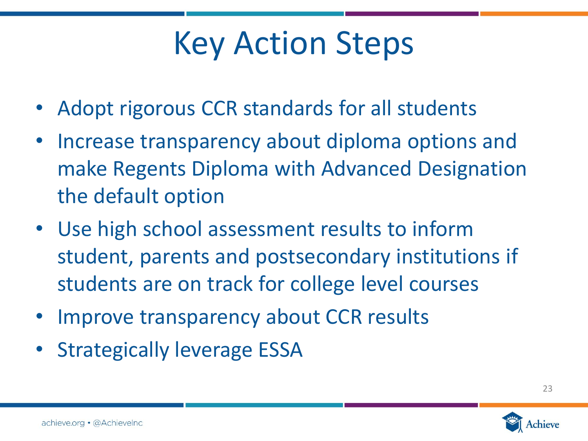Beth Ann Ours; Licensed Practical Nurse; Utica, NY 13502; Lic. No. 291583; Cal. No. 28245; Found guilty of professional misconduct; Penalty: 24 month suspension, execution of last 18 months of suspension stayed, upon service of Order and concurrent with actual suspension, probation 24 months.

Althenia Sherrie Bethel; Licensed Practical Nurse; Rochester, NY 14611; Lic. No. 267477; Cal. No. 28312; Application for consent order granted; Penalty agreed upon: Indefinite actual suspension for no less than 3 months and until fit to practice, upon termination of suspension, 2 years probation to commence upon return to practice, \$250 fine payable within 6 months.

Eileen K. Leon a/k/a Eileen Katherine Leon; Licensed Practical Nurse, Registered Professional Nurse; West Haverstraw, NY 10993-1509; Lic. Nos. 258025, 581823; Cal. Nos. 28582, 28583; Application for consent order granted; Penalty agreed upon: 1 month actual suspension, 23 month stayed suspension, 24 months probation, \$500 fine.

Melissa S. Verdi a/k/a Melissa Verdi; Licensed Practical Nurse; Cheektowaga, NY 14215; Lic. No. 297314; Cal. No. 28624; Application for consent order granted; Penalty agreed upon: 2 year stayed suspension, 2 years probation, \$500 fine.

Amanda Diane Shaw; Registered Professional Nurse; Gerry, NY 14740-9514; Lic. No. 687377; Cal. No. 28700; Application for consent order granted; Penalty agreed upon: 2 year stayed suspension, 2 years probation, \$500 fine.

Jeffrey John Mitchelson; Licensed Practical Nurse; Amsterdam, NY 12010; Lic. No. 293314; Cal. No. 28784; Application for consent order granted; Penalty agreed upon: 2 year stayed suspension, 2 years probation, \$500 fine.

Magdala Celestin; Licensed Practical Nurse; Elmont, NY 11003; Lic. No. 310672; Cal. No. 28785; Application for consent order granted; Penalty agreed upon: 3 month actual suspension, 21 month stayed suspension, 2 years probation to commence upon return to practice.

Cynthia Opuni Agyei a/k/a Cynthia Agyei Ohene a/k/a Cynthia Ohene; Registered Professional Nurse; West Orange, NJ 07052; Lic. No. 557686; Cal. No. 28831; Application for consent order granted; Penalty agreed upon: 1 month actual suspension, 23 month stayed suspension, 24 months probation, \$1,000 fine.

Jennifer L. Hay; Licensed Practical Nurse; Manlius, NY 13104; Lic. No. 302060; Cal. No. 28836; Application for consent order granted; Penalty agreed upon: 2 year stayed suspension, 2 years probation, \$500 fine.

Patricia R. Beebe; Registered Professional Nurse; Lyons, NY 14489; Lic. No. 617846; Cal. No. 28868; Application for consent order granted; Penalty agreed upon: Indefinite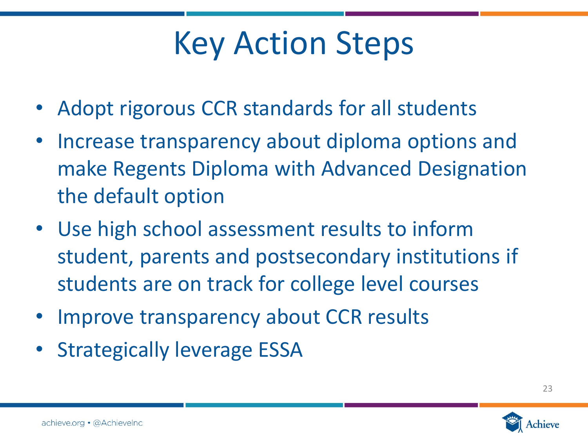actual suspension for no less than 6 months and until fit to practice, upon termination of suspension, 2 years probation to commence upon return to practice.

Elizabeth Ann Rocklin; Licensed Practical Nurse, Registered Professional Nurse; Canajoharie, NY 13317; Lic. Nos. 233432, 612286; Cal. Nos. 28870, 28869; Application for consent order granted; Penalty agreed upon: 1 month actual suspension, 23 month stayed suspension, 2 years probation, \$500 fine.

William D. Kacinski Jr; Registered Professional Nurse; Centereach, NY 11720; Lic. No. 507857; Cal. No. 28921; Application for consent order granted; Penalty agreed upon: 1 month actual suspension, 23 month stayed suspension, 24 months probation.

Kristie Michelle Buehler; Licensed Practical Nurse; Seneca Falls, NY 13148; Lic. No. 323234; Cal. No. 28938; Application for consent order granted; Penalty agreed upon: 1 year stayed suspension, 1 year probation, \$250 fine.

Patricia A. Van Hoeven a/k/a Patricia Vanhoeven; Licensed Practical Nurse; Rome, NY 13440; Lic. No. 273933; Cal. No. 28947; Application for consent order granted; Penalty agreed upon: 1 year stayed suspension, 1 year probation, \$250 fine.

Theresa Armstrong; Licensed Practical Nurse; Rochester, NY 14611; Lic. No. 242303; Cal. No. 28948; Application for consent order granted; Penalty agreed upon: 1 month actual suspension, 23 month stayed suspension, 2 years probation, \$500 fine.

Mathew H. Zarzycki; Licensed Practical Nurse; Putnam, CT 06260; Lic. No. 319715; Cal. No. 28949; Application for consent order granted; Penalty agreed upon: 2 year stayed suspension, 2 years probation, \$500 fine.

Megan Teresa Hardgrove; Registered Professional Nurse; North Babylon, NY 11703-1927; Lic. No. 660580; Cal. No. 28964; Application for consent order granted; Penalty agreed upon: 1 year stayed suspension, 1 year probation, \$500 fine.

Shirlene Stephanie Williams; Licensed Practical Nurse, Registered Professional Nurse; Conyers, GA 30013; Lic. Nos. 294818, 659813; Cal. Nos. 29008, 29009; Application for consent order granted; Penalty agreed upon: 1 month actual suspension, 11 month stayed suspension, 1 year probation, \$1,000 fine.

Suzanne T. Francis; Registered Professional Nurse, Nurse Practitioner (Adult Health); Farmington, NY 14425; Lic. No. 518746, Cert. No. 304300; Cal. Nos. 29030, 29031; Application for consent order granted; Penalty agreed upon: Indefinite actual suspensions until fit to practice, upon termination of suspensions, 2 years probation to commence upon return to practice, \$500 fine payable within 3 months.

Michael Troy Richmond; Licensed Practical Nurse; Bernhards Bay, NY 13028-4158; Lic. No. 306795; Cal. No. 29039; Application for consent order granted; Penalty agreed upon: 1 year stayed suspension, 1 year probation, \$250 fine.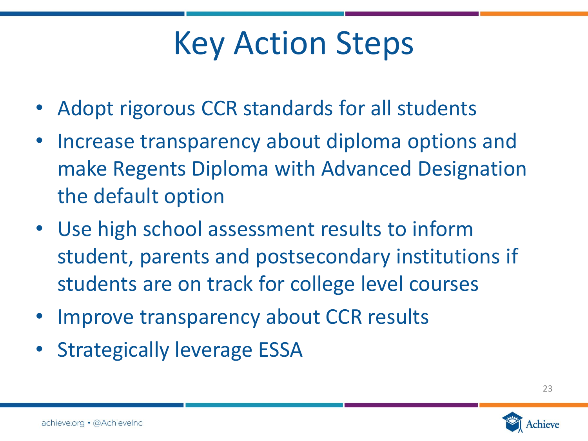Paul W. Waiting; Registered Professional Nurse; Seaford, NY 11783-1118; Lic. No. 612316; Cal. No. 29056; Application for consent order granted; Penalty agreed upon: 2 year stayed suspension, 2 years probation, \$500 fine.

Shanntel Raquel Okafor; Registered Professional Nurse; Jamaica, NY 11431-4305; Lic. No. 517893; Cal. No. 29074; Application for consent order granted; Penalty agreed upon: 4 month actual suspension, 20 month stayed suspension, 24 months probation.

Sarah Allison Frock; Licensed Practical Nurse; Athens, PA 18810-7786; Lic. No. 314047; Cal. No. 29238; Application for consent order granted; Penalty agreed upon: 1 month actual suspension, 23 month stayed suspension, 24 months probation, \$500 fine.

## **Occupational Therapy**

Celeste Rolon; Occupational Therapy Assistant, Occupational Therapist; Huntington, NY 11743; Auth. No. 005878, Lic. No. 012530; Cal. Nos. 29080, 29081; Application for consent order granted; Penalty agreed upon: 2 month actual suspension, 22 month stayed suspension, 24 months probation.

## **Pharmacy**

Nisar Rehman; Pharmacist; Garden City, NY 11040; Lic. No. 038486; Cal. No. 28807; Application for consent order granted; Penalty agreed upon: 1 month actual suspension, 23 month stayed suspension, 24 months probation, \$5,000 fine.

Fauzia & Maher, Inc. d/b/a Rex Pharmacy; Pharmacy; 119-01 Rockaway Boulevard, Ozone Park, NY 11420; Reg. No. 016400; Cal. No. 28808; Application for consent order granted; Penalty agreed upon: 2 year stayed suspension, 2 years probation, \$5,000 fine.

Pharmacade Pharmacy Inc; Pharmacy; 1049 East 163rd Street, Bronx, NY 10459; Reg. No. 014782; Cal. No. 28922; Application for consent order granted; Penalty agreed upon: \$25,000 fine payable by service of Order, 3 years probation.

Point Pharmacy LLC; Pharmacy; 900 Hunts Point Avenue, Bronx, NY 10474; Reg. No. 023294; Cal. No. 28936; Application for consent order granted; Penalty agreed upon: \$25,000 fine payable by service of Order, 3 years probation.

William Spieler; Pharmacist; Chestnut Ridge, NY 10977-4434; Lic. No. 032007; Cal. No. 28965; Application for consent order granted; Penalty agreed upon: 3 month actual suspension, 21 month stayed suspension, following service of actual suspension, 3 years probation, \$25,000 fine payable within 30 days.